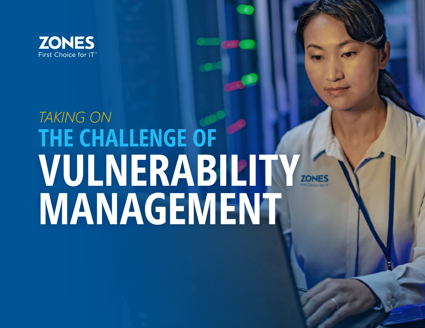

# **VULNERABILITY MANAGEMENT THE CHALLENGE OF** *TAKING ON*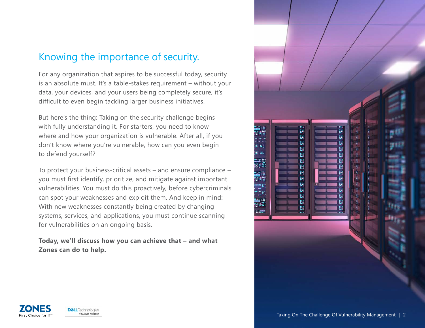#### Knowing the importance of security.

For any organization that aspires to be successful today, security is an absolute must. It's a table-stakes requirement – without your data, your devices, and your users being completely secure, it's difficult to even begin tackling larger business initiatives.

But here's the thing: Taking on the security challenge begins with fully understanding it. For starters, you need to know where and how your organization is vulnerable. After all, if you don't know where you're vulnerable, how can you even begin to defend yourself?

To protect your business-critical assets – and ensure compliance – you must first identify, prioritize, and mitigate against important vulnerabilities. You must do this proactively, before cybercriminals can spot your weaknesses and exploit them. And keep in mind: With new weaknesses constantly being created by changing systems, services, and applications, you must continue scanning for vulnerabilities on an ongoing basis.

**Today, we'll discuss how you can achieve that – and what Zones can do to help.**





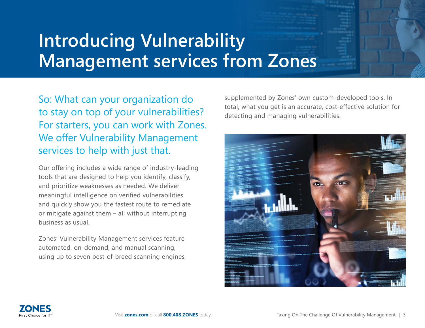## **Introducing Vulnerability Management services from Zones**

So: What can your organization do to stay on top of your vulnerabilities? For starters, you can work with Zones. We offer Vulnerability Management services to help with just that.

Our offering includes a wide range of industry-leading tools that are designed to help you identify, classify, and prioritize weaknesses as needed. We deliver meaningful intelligence on verified vulnerabilities and quickly show you the fastest route to remediate or mitigate against them – all without interrupting business as usual.

Zones' Vulnerability Management services feature automated, on-demand, and manual scanning, using up to seven best-of-breed scanning engines, supplemented by Zones' own custom-developed tools. In total, what you get is an accurate, cost-effective solution for detecting and managing vulnerabilities.



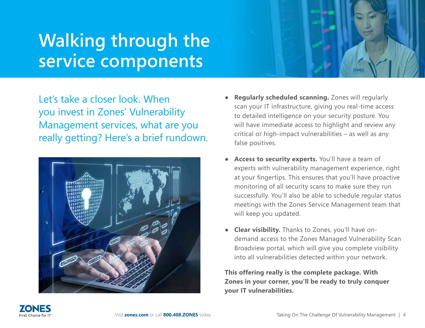### **Walking through the service components**

Let's take a closer look. When you invest in Zones' Vulnerability Management services, what are you really getting? Here's a brief rundown.



- **Regularly scheduled scanning.** Zones will regularly scan your IT infrastructure, giving you real-time access to detailed intelligence on your security posture. You will have immediate access to highlight and review any critical or high-impact vulnerabilities – as well as any false positives.
- Access to security experts. You'll have a team of experts with vulnerability management experience, right at your fingertips. This ensures that you'll have proactive monitoring of all security scans to make sure they run successfully. You'll also be able to schedule regular status meetings with the Zones Service Management team that will keep you updated.
- **Clear visibility.** Thanks to Zones, you'll have ondemand access to the Zones Managed Vulnerability Scan Broadview portal, which will give you complete visibility into all vulnerabilities detected within your network.

**This offering really is the complete package. With Zones in your corner, you'll be ready to truly conquer your IT vulnerabilities.**

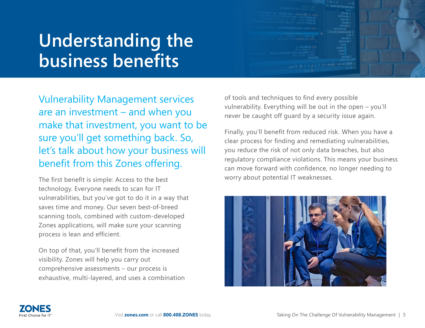### **Understanding the business benefits**

Vulnerability Management services are an investment – and when you make that investment, you want to be sure you'll get something back. So, let's talk about how your business will benefit from this Zones offering.

The first benefit is simple: Access to the best technology. Everyone needs to scan for IT vulnerabilities, but you've got to do it in a way that saves time and money. Our seven best-of-breed scanning tools, combined with custom-developed Zones applications, will make sure your scanning process is lean and efficient.

On top of that, you'll benefit from the increased visibility. Zones will help you carry out comprehensive assessments – our process is exhaustive, multi-layered, and uses a combination of tools and techniques to find every possible vulnerability. Everything will be out in the open – you'll never be caught off guard by a security issue again.

Finally, you'll benefit from reduced risk. When you have a clear process for finding and remediating vulnerabilities, you reduce the risk of not only data breaches, but also regulatory compliance violations. This means your business can move forward with confidence, no longer needing to worry about potential IT weaknesses.



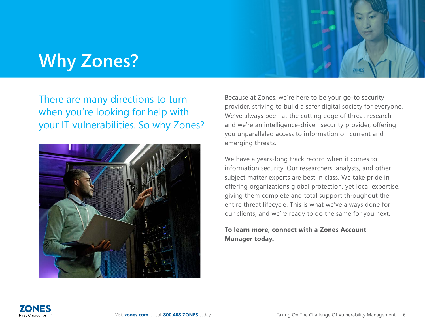### **Why Zones?**

#### There are many directions to turn when you're looking for help with your IT vulnerabilities. So why Zones?



Because at Zones, we're here to be your go-to security provider, striving to build a safer digital society for everyone. We've always been at the cutting edge of threat research, and we're an intelligence-driven security provider, offering you unparalleled access to information on current and emerging threats.

We have a years-long track record when it comes to information security. Our researchers, analysts, and other subject matter experts are best in class. We take pride in offering organizations global protection, yet local expertise, giving them complete and total support throughout the entire threat lifecycle. This is what we've always done for our clients, and we're ready to do the same for you next.

#### **To learn more, connect with a Zones Account Manager today.**